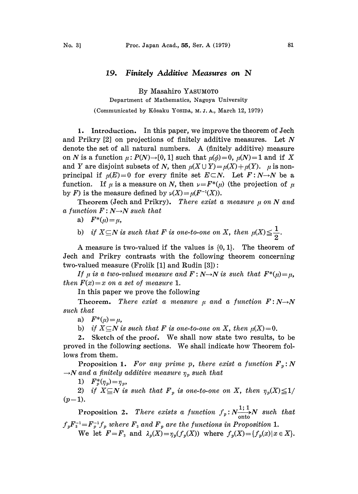## 19. Finitely Additive Measures on N

By Masahiro YASUMOT0

Department of Mathematics, Nagoya University

(Communicated by Kôsaku Yosipa, M.J.A., March 12, 1979)

1. Introduction. In this paper, we improve the theorem of Jech and Prikry  $[2]$  on projections of finitely additive measures. Let N denote the set of all natural numbers. A (finitely additive) measure on N is a function  $\mu: P(N) \to [0, 1]$  such that  $\mu(\phi)=0$ ,  $\mu(N)=1$  and if X and Y are disjoint subsets of N, then  $\mu(X \cup Y) = \mu(X) + \mu(Y)$ .  $\mu$  is nonprincipal if  $\mu(E)=0$  for every finite set  $E\subset N$ . Let  $F: N\rightarrow N$  be a function. If  $\mu$  is a measure on N, then  $\nu = F^*(\mu)$  (the projection of  $\mu$ by F) is the measure defined by  $\nu(X) = \mu(F^{-1}(X)).$ 

Theorem (Jech and Prikry). There exist a measure  $\mu$  on N and a function  $F: N \rightarrow N$  such that

a)  $F^*(\mu) = \mu$ ,

b) if  $X \subseteq N$  is such that F is one-to-one on X, then  $\mu(X) \leq \frac{1}{2}$ .

A measure is two-valued if the values is  $\{0, 1\}$ . The theorem of Jech and Prikry contrasts with the following theorem concerning two-valued measure (Frolik  $[1]$  and Rudin  $[3]$ ):

If  $\mu$  is a two-valued measure and  $\mathbf{F}: \mathbf{N} \rightarrow \mathbf{N}$  is such that  $\mathbf{F}^*(\mu) = \mu$ , then  $F(x)=x$  on a set of measure 1.

In this paper we prove the following

Theorem. There exist a measure  $\mu$  and a function  $F: N \rightarrow N$ such that

a)  $F^*(\mu) = \mu$ ,

b) if  $X \subseteq N$  is such that F is one-to-one on X, then  $\mu(X)=0$ .

2. Sketch of the proof. We shall now state two results, to be proved in the following sections. We shall indicate how Theorem follows from them.

**Proposition 1.** For any prime p, there exist a function  $F_p$ : N  $\rightarrow$ N and a finitely additive measure  $\eta_p$  such that

1)  $F_p^*(\eta_p) = \eta_p$ ,

2) if  $X \subseteq N$  is such that  $F_p$  is one-to-one on X, then  $\eta_p(X) \leq 1/2$  $(p-1).$ 

Proposition 2. There exists a function  $f_p: N \frac{1;1}{\text{onto}} N$  such that  $f_p F_3^{-1} = F_p^{-1} f_p$  where  $F_3$  and  $F_p$  are the functions in Proposition 1.

We let  $F=F_3$  and  $\lambda_p(X)=\eta_p(f_p(X))$  where  $f_p(X)=\{f_p(x)|x\in X\}.$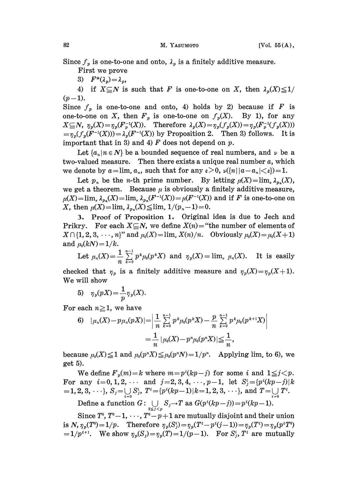Since  $f_p$  is one-to-one and onto,  $\lambda_p$  is a finitely additive measure.

- First we prove
- 3)  $F^*(\lambda_p) = \lambda_p$

4) if  $X \subseteq N$  is such that F is one-to-one on X, then  $\lambda_p(X) \leq 1/$  $(p-1)$ .

Since  $f_p$  is one-to-one and onto, 4) holds by 2) because if F is one-to-one on X, then  $F_p$  is one-to-one on  $f_p(X)$ . By 1), for any  $X \subseteq N$ ,  $\eta_p(X) = \eta_p(F_p^{-1}(X))$ . Therefore  $\lambda_p(X) = \eta_p(f_p(X)) = \eta_p(F_p^{-1}(f_p(X)))$  $=\gamma_p(f_p(F^{-1}(X))) = \lambda_p(F^{-1}(X))$  by Proposition 2. Then 3) follows. It is important that in 3) and 4)  $F$  does not depend on  $p$ .

Let  $\{a_n | n \in \mathbb{N}\}$  be a bounded sequence of real numbers, and  $\nu$  be a two-valued measure. Then there exists a unique real number  $a$ , which we denote by  $a=\lim_{n \to \infty} a_n$ , such that for any  $\epsilon > 0$ ,  $\nu({n \mid a-a_n| < \epsilon}) = 1$ .

Let  $p_n$  be the *n*-th prime number. By letting  $\mu(X) = \lim_{n \to \infty} \lambda_{p_n}(X)$ , we get a theorem. Because  $\mu$  is obviously a finitely additive measure,  $\mu(X)$ =lim,  $\lambda_{p_n}(X)$ =lim,  $\lambda_{p_n}(F^{-1}(X)) = \mu(F^{-1}(X))$  and if F is one-to-one on X, then  $\mu(X) = \lim_{n \to \infty} \lambda_{p_n}(X) \leq \lim_{n \to \infty} \frac{1}{p_n - 1} = 0.$ 

3. Proof of Proposition 1. Original idea is due to Jech and Prikry. For each  $X\subseteq N$ , we define  $X(n)$ = "the number of elements of  $X \cap \{1,2,3,\dots,n\}$ " and  $\mu_0(X) = \lim_{x \to 0} X(n)/n$ . Obviously  $\mu_0(X) = \mu_0(X+1)$ and  $\mu_0(kN) = 1/k$ .

Let  $\mu_n(X) = \frac{1}{n} \sum_{k=0}^{n-1} p^k \mu_0(p^k X)$  and  $\eta_p(X) = \lim_{k \to \infty} \mu_n(X)$ . It is easily

checked that  $\eta_p$  is a finitely additive measure and  $\eta_p(X)=\eta_p(X+1)$ . We will show

$$
5) \quad \eta_p(pX) = \frac{1}{p} \eta_p(X).
$$

For each  $n \geq 1$ , we have

6) 
$$
|\mu_n(X) - p\mu_n(pX)| = \left| \frac{1}{n} \sum_{k=0}^{n-1} p^k \mu_0(p^k X) - \frac{p}{n} \sum_{k=0}^{n-1} p^k \mu_0(p^{k+1} X) \right|
$$
  
=  $\frac{1}{n} |\mu_0(X) - p^n \mu_0(p^n X)| \leq \frac{1}{n}$ ,  
because  $\mu_0(X) \leq 1$  and  $\mu_0(p^n X) \leq \mu_0(p^n N) = 1/p^n$ . Applying lim, to 6), we

get 5).

We define  $F_p(m)=k$  where  $m=p^i(kp-j)$  for some i and  $1 \leq j < p$ . For any  $i=0,1,2,\cdots$  and  $j=2,3,4,\cdots,p-1$ , let  $S_j = \{p^{i}(kp-j)|k\}$  $\{1,2,3,\cdots\},\,S_j\!=\!\bigcup_{i=0}S_j^i,\,T^i\!=\!\{p^i(kp\!-\!1)|k\!=\!1,2,3,\cdots\},\,\text{and}\,\,T\!=\!\bigcup_{i=0}T^i\!.$ 

Define a function  $G\colon \bigcup\limits_{2\leq j < p} S_j{\rightarrow} T$  as  $G(p^i(kp -j))\!=\!p^i(kp -1)\overset{i}{\cdot}$ 

Since  $T^0$ ,  $T^0-1$ ,  $\cdots$ ,  $T^0-p+1$  are mutually disjoint and their union is N,  $\eta_p(T^0)=1/p$ . Therefore  $\eta_p(S_j^i)=\eta_p(T^i-p^i(j-1))=\eta_p(T^i)=\eta_p(p^iT^0)$  $\ell=1/p^{i+1}$ . We show  $\eta_p(S_j)=\eta_p(T)=1/(p-1)$ . For  $S_j^i$ ,  $T^i$  are mutually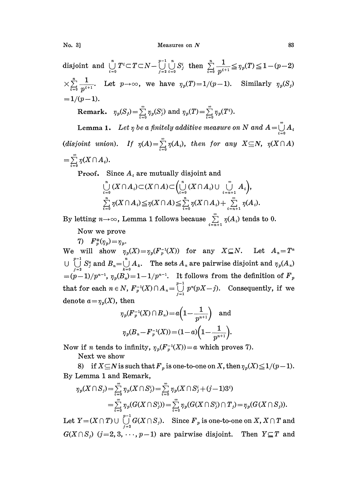disjoint and  $\bigcup_{i=0}^{n} T^{i} \subset T \subset N - \bigcup_{j=2}^{p-1} \bigcup_{i=0}^{n} S_{j}^{i}$  then  $\sum_{i=0}^{n} \frac{1}{p^{i+1}} \leq \eta_{p}(T) \leq 1 - (p-2)$  $S_j^i$  then  $\sum_{i=0}^{\infty} \frac{1}{p^{i+1}} \leq$  $\times \sum_{i=0}^{n} \frac{1}{n^{i+1}}$ . Let  $p \rightarrow \infty$ , we have  $\eta_p(T)=1/(p-1)$ . Similarly  $\eta_p(S_j)$  $= 1/(p-1).$ 

Remark.  $\eta_p(S_j) = \sum_{i=0}^{\infty} \eta_p(S_j^i)$  and  $\eta_p(T) = \sum_{i=0}^{\infty} \eta_p(T^i)$ .

**Lemma 1.** Let  $\eta$  be a finitely additive measure on N and  $A = \bigcup_{i=0}^{\infty} A_i$ (disjoint union). If  $\eta(A) = \sum_{i=0}^{\infty} \eta(A_i)$ , then for any  $X \subseteq N$ ,  $\eta(X \cap A)$  $\sum\limits_{i=0}^{\infty} \eta(X\cap A_i).$ 

Proof. Since  $A_i$  are mutually disjoint and

$$
\bigcup_{i=0}^{n} (X \cap A_i) \subset (X \cap A) \subset \left(\bigcup_{i=0}^{n} (X \cap A_i) \cup \bigcup_{i=n+1}^{n} A_i\right),
$$
  

$$
\sum_{i=0}^{n} \eta(X \cap A_i) \leq \eta(X \cap A) \leq \sum_{i=0}^{n} \eta(X \cap A_i) + \sum_{i=n+1}^{n} \eta(A_i).
$$

By letting  $n \rightarrow \infty$ , Lemma 1 follows because  $\sum_{i=n+1}^{\infty} \eta(A_i)$  tends to 0.

Now we prove

7)  $F_n^*(\eta_p) = \eta_p$ .

We will show  $\eta_p(X)=\eta_p(F_p^{-1}(X))$  for any  $X\subseteq N$ . Let  $A_n=T^n$  $\cup \bigcup_{j=2}^{p-1} S_j^n$  and  $B_n = \bigcup_{k=0}^n A_k$ . The sets  $A_n$  are pairwise disjoint and  $\eta_p(A_n)$  $=(p-1)/p^{n-1}, \eta_n(\overline{B_n})=1-1/p^{n-1}$ . It follows from the definition of  $F_n$ that for each  $n \in N$ ,  $F_p^{-1}(X) \cap A_n = \bigcup_{j=1}^{p-1} p^n (pX - j)$ . Consequently, if we denote  $a = \eta_p(X)$ , then

$$
\begin{aligned} \eta_p ( \pmb{F}_p^{-1}(X) \cap B_n ) \! & = \! a \! \left( 1 \! - \! \frac{1}{p^{n+1}} \! \right) \quad \text{and} \quad \quad \, \\ \eta_p (B_n \! - \! \pmb{F}_p^{-1} \! (X)) \! = \! (1 \! - \! a) \! \left( 1 \! - \! \frac{1}{p^{n+1}} \! \right) \!. \end{aligned}
$$

Now if *n* tends to infinity,  $\eta_p(F_p^{-1}(X))=a$  which proves 7). Next we show

8) if  $X \subseteq N$  is such that  $F_p$  is one-to-one on X, then  $\eta_p(X) \leq 1/(p-1)$ . By Lemma <sup>1</sup> and Remark,

$$
\begin{split} \eta_p(X\cap S_j) &= \sum_{i=0}^\infty \eta_p(X\cap S_j^i) = \sum_{i=0}^\infty \eta_p(X\cap S_j^i + (j-1)3^i) \\ &= \sum_{i=0}^\infty \eta_p(G(X\cap S_j^i)) = \sum_{i=0}^\infty \eta_p(G(X\cap S_j^i)\cap T_j) = \eta_p(G(X\cap S_j)). \end{split}
$$

 $\mathrm{Let}\,\, Y\!=\!(X\cap T)\cup\,\bigcup\limits_{j=2}^{p-1}G(X\cap S_j). \quad \mathrm{Since}\,\, F_{\,p} \text{ is one-to-one on }X,\, X\cap T \text{ and }$  $G(X \cap S_i)$   $(j=2,3,\dots,p-1)$  are pairwise disjoint. Then  $Y \subseteq T$  and